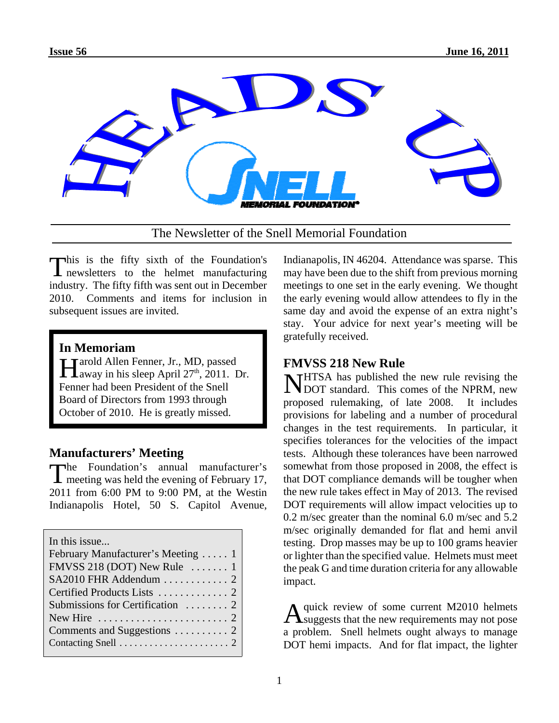

The Newsletter of the Snell Memorial Foundation

This is the fifty sixth of the Foundation's **L** newsletters to the helmet manufacturing industry. The fifty fifth was sent out in December 2010. Comments and items for inclusion in subsequent issues are invited.

### **In Memoriam**

Harold Allen Fenner, Jr., MD, passed<br>Away in his sleep April 27<sup>th</sup>, 2011. Dr. Fenner had been President of the Snell Board of Directors from 1993 through October of 2010. He is greatly missed.

### **Manufacturers' Meeting**

The Foundation's annual manufacturer's I meeting was held the evening of February 17, 2011 from 6:00 PM to 9:00 PM, at the Westin Indianapolis Hotel, 50 S. Capitol Avenue,

| In this issue                                       |  |  |  |
|-----------------------------------------------------|--|--|--|
| February Manufacturer's Meeting  1                  |  |  |  |
| FMVSS 218 (DOT) New Rule $\dots$ 1                  |  |  |  |
| SA2010 FHR Addendum  2                              |  |  |  |
|                                                     |  |  |  |
| Submissions for Certification  2                    |  |  |  |
| New Hire $\dots\dots\dots\dots\dots\dots\dots\dots$ |  |  |  |
|                                                     |  |  |  |
|                                                     |  |  |  |
|                                                     |  |  |  |

Indianapolis, IN 46204. Attendance was sparse. This may have been due to the shift from previous morning meetings to one set in the early evening. We thought the early evening would allow attendees to fly in the same day and avoid the expense of an extra night's stay. Your advice for next year's meeting will be gratefully received.

### **FMVSS 218 New Rule**

NHTSA has published the new rule revising the DOT standard. This comes of the NPRM, new proposed rulemaking, of late 2008. It includes provisions for labeling and a number of procedural changes in the test requirements. In particular, it specifies tolerances for the velocities of the impact tests. Although these tolerances have been narrowed somewhat from those proposed in 2008, the effect is that DOT compliance demands will be tougher when the new rule takes effect in May of 2013. The revised DOT requirements will allow impact velocities up to 0.2 m/sec greater than the nominal 6.0 m/sec and 5.2 m/sec originally demanded for flat and hemi anvil testing. Drop masses may be up to 100 grams heavier or lighter than the specified value. Helmets must meet the peak G and time duration criteria for any allowable impact.

Aquick review of some current M2010 helmets suggests that the new requirements may not pose a problem. Snell helmets ought always to manage DOT hemi impacts. And for flat impact, the lighter